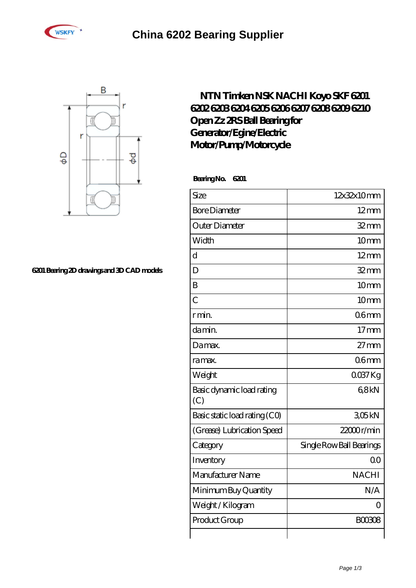



## **[6201 Bearing 2D drawings and 3D CAD models](https://brosebaskets.tv/pic-808873.html)**

## **[NTN Timken NSK NACHI Koyo SKF 6201](https://brosebaskets.tv/nsk-6208-bearing/nachi-6201.html) [6202 6203 6204 6205 6206 6207 6208 6209 6210](https://brosebaskets.tv/nsk-6208-bearing/nachi-6201.html) [Open Zz 2RS Ball Bearing for](https://brosebaskets.tv/nsk-6208-bearing/nachi-6201.html) [Generator/Egine/Electric](https://brosebaskets.tv/nsk-6208-bearing/nachi-6201.html) [Motor/Pump/Motorcycle](https://brosebaskets.tv/nsk-6208-bearing/nachi-6201.html)**

 **Bearing No. 6201**

| Size                             | 12x32x10mm               |
|----------------------------------|--------------------------|
| <b>Bore Diameter</b>             | $12 \text{mm}$           |
| Outer Diameter                   | $32 \, \text{mm}$        |
| Width                            | 10mm                     |
| $\overline{\rm d}$               | $12 \text{mm}$           |
| D                                | $32$ mm                  |
| B                                | 10mm                     |
| $\overline{C}$                   | 10mm                     |
| r min.                           | 06 <sub>mm</sub>         |
| da min.                          | 17 <sub>mm</sub>         |
| Damax.                           | $27$ mm                  |
| ra max.                          | 06 <sub>mm</sub>         |
| Weight                           | $0037$ Kg                |
| Basic dynamic load rating<br>(C) | 68kN                     |
| Basic static load rating (CO)    | 305kN                    |
| (Grease) Lubrication Speed       | $22000$ r/min            |
| Category                         | Single Row Ball Bearings |
| Inventory                        | 0 <sup>0</sup>           |
| Manufacturer Name                | <b>NACHI</b>             |
| Minimum Buy Quantity             | N/A                      |
| Weight / Kilogram                | Ω                        |
| Product Group                    | <b>BOO3O8</b>            |
|                                  |                          |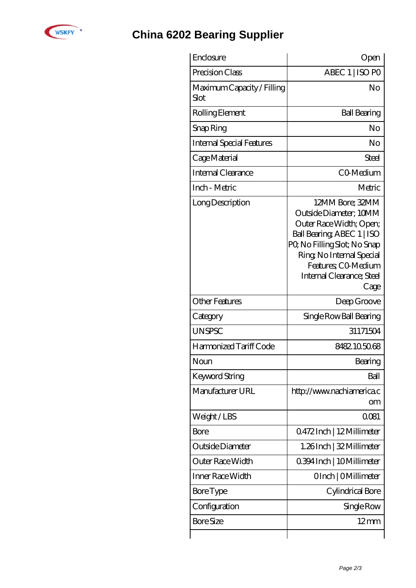

## **[China 6202 Bearing Supplier](https://brosebaskets.tv)**

| Enclosure                          | Open                                                                                                                                                                                                                       |
|------------------------------------|----------------------------------------------------------------------------------------------------------------------------------------------------------------------------------------------------------------------------|
| Precision Class                    | ABEC 1   ISO PO                                                                                                                                                                                                            |
| Maximum Capacity / Filling<br>Slot | No                                                                                                                                                                                                                         |
| Rolling Element                    | <b>Ball Bearing</b>                                                                                                                                                                                                        |
| Snap Ring                          | No                                                                                                                                                                                                                         |
| <b>Internal Special Features</b>   | No                                                                                                                                                                                                                         |
| Cage Material                      | Steel                                                                                                                                                                                                                      |
| Internal Clearance                 | CO-Medium                                                                                                                                                                                                                  |
| Inch - Metric                      | Metric                                                                                                                                                                                                                     |
| Long Description                   | 12MM Bore; 32MM<br>Outside Diameter; 10MM<br>Outer Race Width; Open;<br>Ball Bearing, ABEC 1   ISO<br>PQ No Filling Slot; No Snap<br>Ring, No Internal Special<br>Features; CO-Medium<br>Internal Clearance; Steel<br>Cage |
| Other Features                     | Deep Groove                                                                                                                                                                                                                |
| Category                           | Single Row Ball Bearing                                                                                                                                                                                                    |
| <b>UNSPSC</b>                      | 31171504                                                                                                                                                                                                                   |
| Harmonized Tariff Code             | 8482105068                                                                                                                                                                                                                 |
| Noun                               | Bearing                                                                                                                                                                                                                    |
| Keyword String                     | Ball                                                                                                                                                                                                                       |
| Manufacturer URL                   | http://www.nachiamerica.c<br>om                                                                                                                                                                                            |
| Weight/LBS                         | 0081                                                                                                                                                                                                                       |
| Bore                               | 0472Inch   12Millimeter                                                                                                                                                                                                    |
| Outside Diameter                   | 1.26Inch   32 Millimeter                                                                                                                                                                                                   |
| Outer Race Width                   | 0.394 Inch   10 Millimeter                                                                                                                                                                                                 |
| Inner Race Width                   | OInch   OMillimeter                                                                                                                                                                                                        |
| <b>Bore Type</b>                   | Cylindrical Bore                                                                                                                                                                                                           |
| Configuration                      | Single Row                                                                                                                                                                                                                 |
| <b>Bore Size</b>                   | $12 \text{mm}$                                                                                                                                                                                                             |
|                                    |                                                                                                                                                                                                                            |